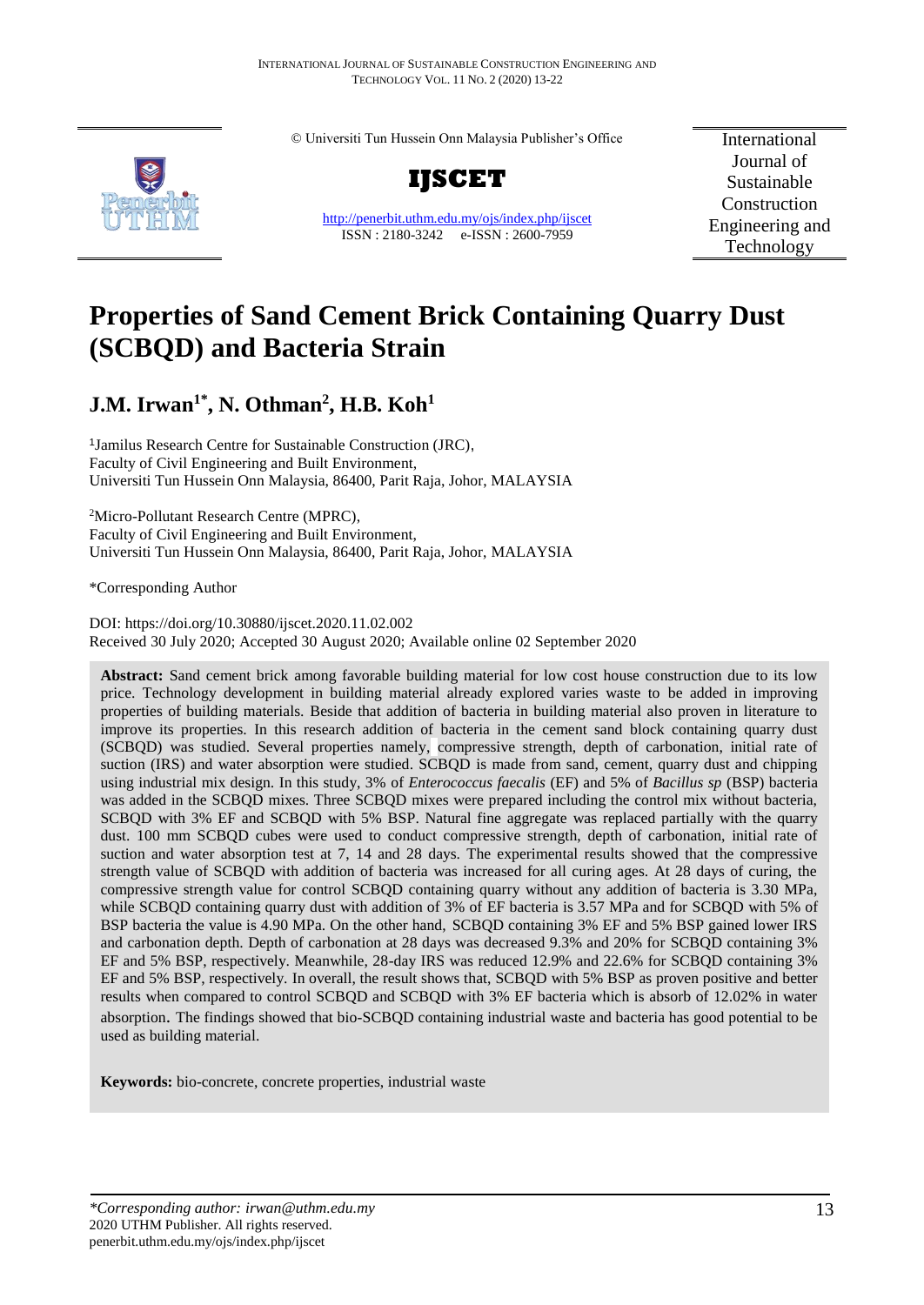© Universiti Tun Hussein Onn Malaysia Publisher's Office



**IJSCET**

<http://penerbit.uthm.edu.my/ojs/index.php/ijscet> ISSN : 2180-3242 e-ISSN : 2600-7959

International Journal of Sustainable Construction Engineering and Technology

# **Properties of Sand Cement Brick Containing Quarry Dust (SCBQD) and Bacteria Strain**

# **J.M. Irwan1\* , N. Othman<sup>2</sup> , H.B. Koh<sup>1</sup>**

1 Jamilus Research Centre for Sustainable Construction (JRC), Faculty of Civil Engineering and Built Environment, Universiti Tun Hussein Onn Malaysia, 86400, Parit Raja, Johor, MALAYSIA

<sup>2</sup>Micro-Pollutant Research Centre (MPRC), Faculty of Civil Engineering and Built Environment, Universiti Tun Hussein Onn Malaysia, 86400, Parit Raja, Johor, MALAYSIA

\*Corresponding Author

DOI: https://doi.org/10.30880/ijscet.2020.11.02.002 Received 30 July 2020; Accepted 30 August 2020; Available online 02 September 2020

**Abstract:** Sand cement brick among favorable building material for low cost house construction due to its low price. Technology development in building material already explored varies waste to be added in improving properties of building materials. Beside that addition of bacteria in building material also proven in literature to improve its properties. In this research addition of bacteria in the cement sand block containing quarry dust (SCBQD) was studied. Several properties namely, compressive strength, depth of carbonation, initial rate of suction (IRS) and water absorption were studied. SCBQD is made from sand, cement, quarry dust and chipping using industrial mix design. In this study, 3% of *Enterococcus faecalis* (EF) and 5% of *Bacillus sp* (BSP) bacteria was added in the SCBQD mixes. Three SCBQD mixes were prepared including the control mix without bacteria, SCBQD with 3% EF and SCBQD with 5% BSP. Natural fine aggregate was replaced partially with the quarry dust. 100 mm SCBQD cubes were used to conduct compressive strength, depth of carbonation, initial rate of suction and water absorption test at 7, 14 and 28 days. The experimental results showed that the compressive strength value of SCBQD with addition of bacteria was increased for all curing ages. At 28 days of curing, the compressive strength value for control SCBQD containing quarry without any addition of bacteria is 3.30 MPa, while SCBQD containing quarry dust with addition of 3% of EF bacteria is 3.57 MPa and for SCBQD with 5% of BSP bacteria the value is 4.90 MPa. On the other hand, SCBQD containing 3% EF and 5% BSP gained lower IRS and carbonation depth. Depth of carbonation at 28 days was decreased 9.3% and 20% for SCBQD containing 3% EF and 5% BSP, respectively. Meanwhile, 28-day IRS was reduced 12.9% and 22.6% for SCBQD containing 3% EF and 5% BSP, respectively. In overall, the result shows that, SCBQD with 5% BSP as proven positive and better results when compared to control SCBQD and SCBQD with 3% EF bacteria which is absorb of 12.02% in water absorption. The findings showed that bio-SCBQD containing industrial waste and bacteria has good potential to be used as building material.

**Keywords:** bio-concrete, concrete properties, industrial waste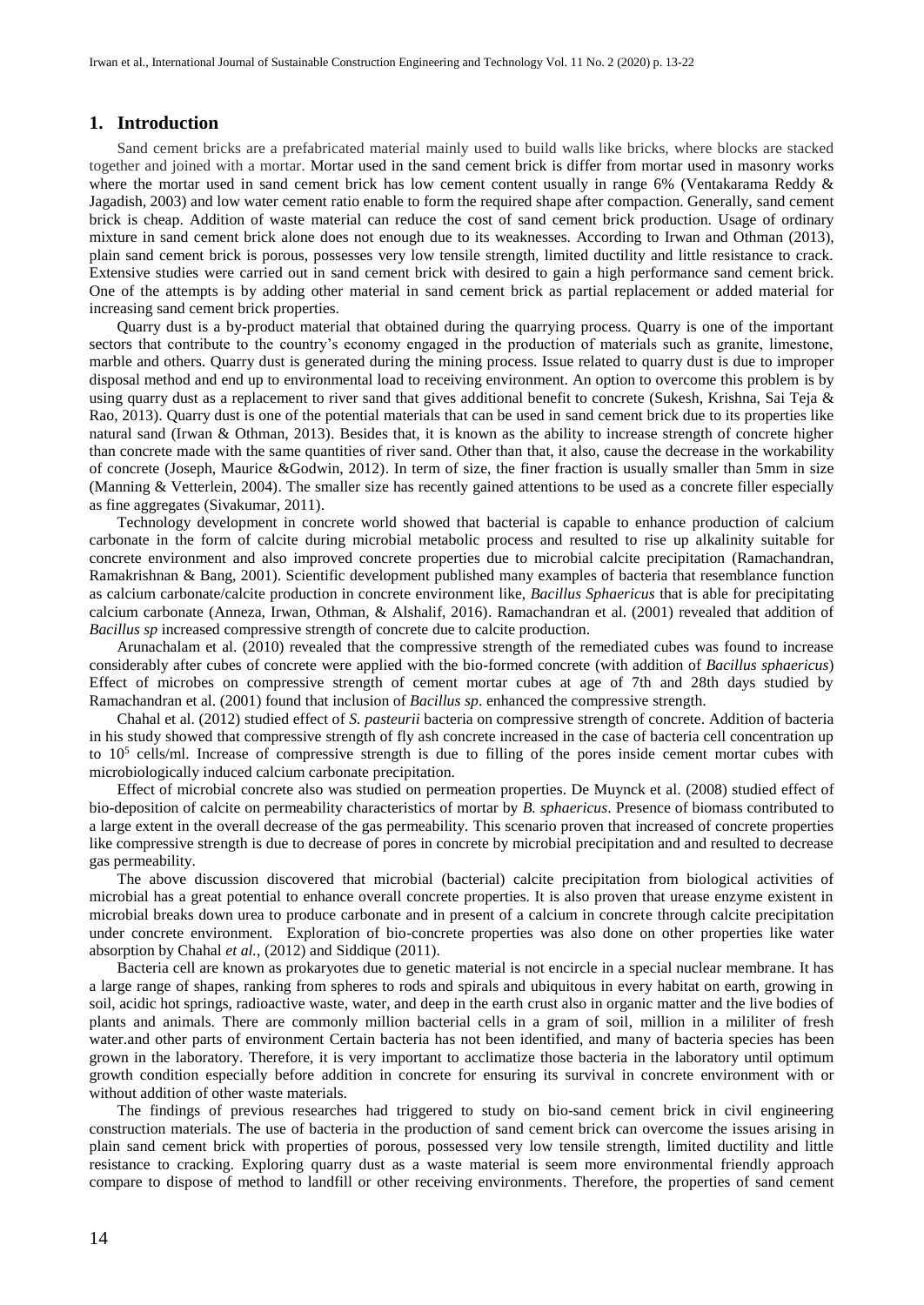#### **1. Introduction**

Sand cement bricks are a prefabricated material mainly used to build walls like bricks, where blocks are stacked together and joined with a mortar. Mortar used in the sand cement brick is differ from mortar used in masonry works where the mortar used in sand cement brick has low cement content usually in range 6% (Ventakarama Reddy & Jagadish, 2003) and low water cement ratio enable to form the required shape after compaction. Generally, sand cement brick is cheap. Addition of waste material can reduce the cost of sand cement brick production. Usage of ordinary mixture in sand cement brick alone does not enough due to its weaknesses. According to Irwan and Othman (2013), plain sand cement brick is porous, possesses very low tensile strength, limited ductility and little resistance to crack. Extensive studies were carried out in sand cement brick with desired to gain a high performance sand cement brick. One of the attempts is by adding other material in sand cement brick as partial replacement or added material for increasing sand cement brick properties.

Quarry dust is a by-product material that obtained during the quarrying process. Quarry is one of the important sectors that contribute to the country's economy engaged in the production of materials such as granite, limestone, marble and others. Quarry dust is generated during the mining process. Issue related to quarry dust is due to improper disposal method and end up to environmental load to receiving environment. An option to overcome this problem is by using quarry dust as a replacement to river sand that gives additional benefit to concrete (Sukesh, Krishna, Sai Teja & Rao, 2013). Quarry dust is one of the potential materials that can be used in sand cement brick due to its properties like natural sand (Irwan & Othman, 2013). Besides that, it is known as the ability to increase strength of concrete higher than concrete made with the same quantities of river sand. Other than that, it also, cause the decrease in the workability of concrete (Joseph, Maurice &Godwin, 2012). In term of size, the finer fraction is usually smaller than 5mm in size (Manning & Vetterlein, 2004). The smaller size has recently gained attentions to be used as a concrete filler especially as fine aggregates (Sivakumar, 2011).

Technology development in concrete world showed that bacterial is capable to enhance production of calcium carbonate in the form of calcite during microbial metabolic process and resulted to rise up alkalinity suitable for concrete environment and also improved concrete properties due to microbial calcite precipitation (Ramachandran, Ramakrishnan & Bang, 2001). Scientific development published many examples of bacteria that resemblance function as calcium carbonate/calcite production in concrete environment like, *Bacillus Sphaericus* that is able for precipitating calcium carbonate (Anneza, Irwan, Othman, & Alshalif, 2016). Ramachandran et al. (2001) revealed that addition of *Bacillus sp* increased compressive strength of concrete due to calcite production.

Arunachalam et al. (2010) revealed that the compressive strength of the remediated cubes was found to increase considerably after cubes of concrete were applied with the bio-formed concrete (with addition of *Bacillus sphaericus*) Effect of microbes on compressive strength of cement mortar cubes at age of 7th and 28th days studied by Ramachandran et al. (2001) found that inclusion of *Bacillus sp*. enhanced the compressive strength.

Chahal et al. (2012) studied effect of *S. pasteurii* bacteria on compressive strength of concrete. Addition of bacteria in his study showed that compressive strength of fly ash concrete increased in the case of bacteria cell concentration up to 10<sup>5</sup> cells/ml. Increase of compressive strength is due to filling of the pores inside cement mortar cubes with microbiologically induced calcium carbonate precipitation.

Effect of microbial concrete also was studied on permeation properties. De Muynck et al. (2008) studied effect of bio-deposition of calcite on permeability characteristics of mortar by *B. sphaericus*. Presence of biomass contributed to a large extent in the overall decrease of the gas permeability. This scenario proven that increased of concrete properties like compressive strength is due to decrease of pores in concrete by microbial precipitation and and resulted to decrease gas permeability.

The above discussion discovered that microbial (bacterial) calcite precipitation from biological activities of microbial has a great potential to enhance overall concrete properties. It is also proven that urease enzyme existent in microbial breaks down urea to produce carbonate and in present of a calcium in concrete through calcite precipitation under concrete environment. Exploration of bio-concrete properties was also done on other properties like water absorption by Chahal *et al.*, (2012) and Siddique (2011).

Bacteria cell are known as prokaryotes due to genetic material is not encircle in a special nuclear membrane. It has a large range of shapes, ranking from spheres to rods and spirals and ubiquitous in every habitat on earth, growing in soil, acidic hot springs, radioactive waste, water, and deep in the earth crust also in organic matter and the live bodies of plants and animals. There are commonly million bacterial cells in a gram of soil, million in a mililiter of fresh water.and other parts of environment Certain bacteria has not been identified, and many of bacteria species has been grown in the laboratory. Therefore, it is very important to acclimatize those bacteria in the laboratory until optimum growth condition especially before addition in concrete for ensuring its survival in concrete environment with or without addition of other waste materials.

The findings of previous researches had triggered to study on bio-sand cement brick in civil engineering construction materials. The use of bacteria in the production of sand cement brick can overcome the issues arising in plain sand cement brick with properties of porous, possessed very low tensile strength, limited ductility and little resistance to cracking. Exploring quarry dust as a waste material is seem more environmental friendly approach compare to dispose of method to landfill or other receiving environments. Therefore, the properties of sand cement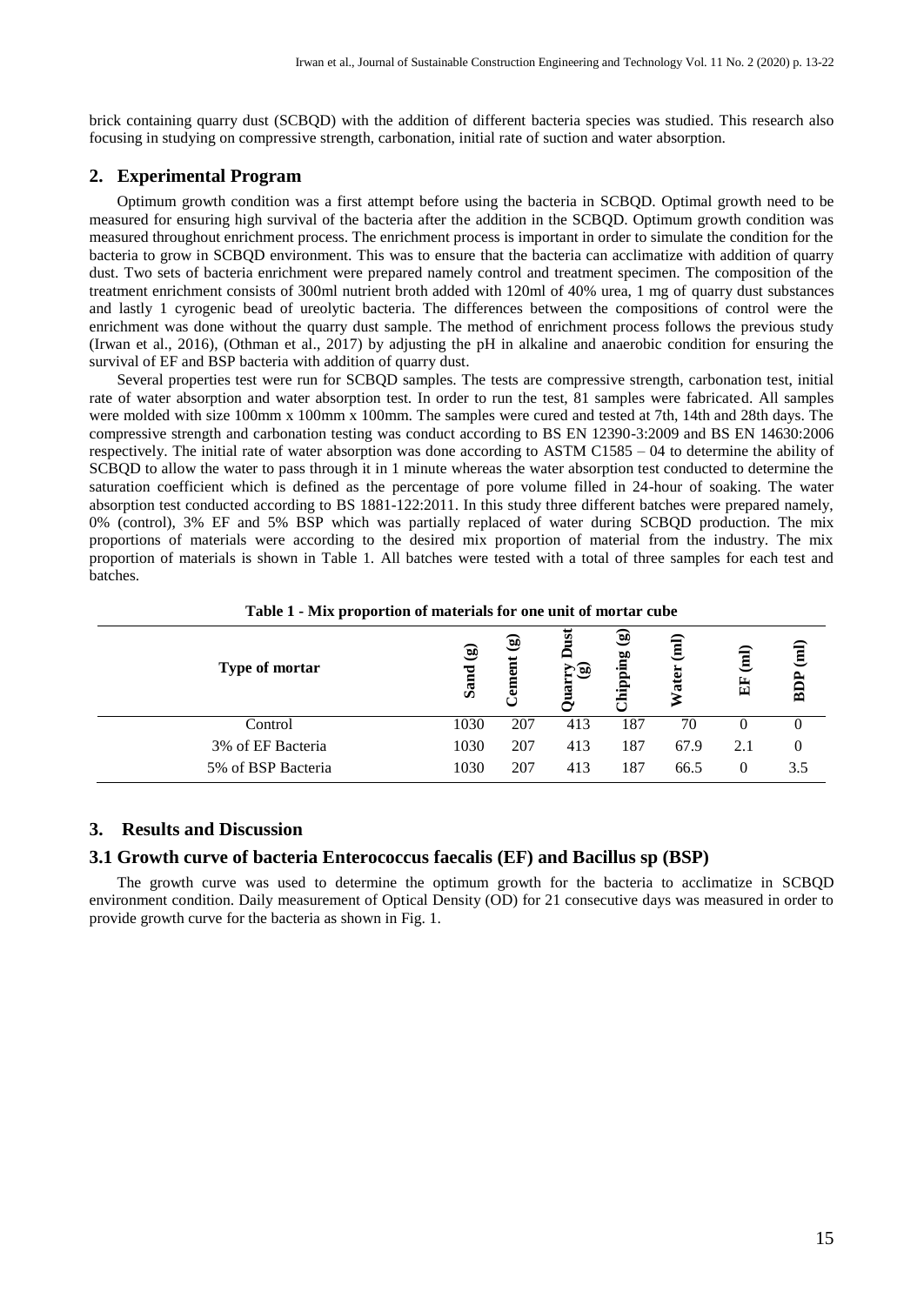brick containing quarry dust (SCBQD) with the addition of different bacteria species was studied. This research also focusing in studying on compressive strength, carbonation, initial rate of suction and water absorption.

# **2. Experimental Program**

Optimum growth condition was a first attempt before using the bacteria in SCBQD. Optimal growth need to be measured for ensuring high survival of the bacteria after the addition in the SCBQD. Optimum growth condition was measured throughout enrichment process. The enrichment process is important in order to simulate the condition for the bacteria to grow in SCBQD environment. This was to ensure that the bacteria can acclimatize with addition of quarry dust. Two sets of bacteria enrichment were prepared namely control and treatment specimen. The composition of the treatment enrichment consists of 300ml nutrient broth added with 120ml of 40% urea, 1 mg of quarry dust substances and lastly 1 cyrogenic bead of ureolytic bacteria. The differences between the compositions of control were the enrichment was done without the quarry dust sample. The method of enrichment process follows the previous study (Irwan et al., 2016), (Othman et al., 2017) by adjusting the pH in alkaline and anaerobic condition for ensuring the survival of EF and BSP bacteria with addition of quarry dust.

Several properties test were run for SCBQD samples. The tests are compressive strength, carbonation test, initial rate of water absorption and water absorption test. In order to run the test, 81 samples were fabricated. All samples were molded with size 100mm x 100mm x 100mm. The samples were cured and tested at 7th, 14th and 28th days. The compressive strength and carbonation testing was conduct according to BS EN 12390-3:2009 and BS EN 14630:2006 respectively. The initial rate of water absorption was done according to ASTM C1585 – 04 to determine the ability of SCBQD to allow the water to pass through it in 1 minute whereas the water absorption test conducted to determine the saturation coefficient which is defined as the percentage of pore volume filled in 24-hour of soaking. The water absorption test conducted according to BS [1881-122:2011.](https://bsol.bsigroup.com/Bibliographic/BibliographicInfoData/000000000030242745) In this study three different batches were prepared namely, 0% (control), 3% EF and 5% BSP which was partially replaced of water during SCBQD production. The mix proportions of materials were according to the desired mix proportion of material from the industry. The mix proportion of materials is shown in Table 1. All batches were tested with a total of three samples for each test and batches.

| . .                |                 |                              |                   |                         |      |                |          |
|--------------------|-----------------|------------------------------|-------------------|-------------------------|------|----------------|----------|
| Type of mortar     | $\odot$<br>Sand | $\widehat{\mathbf{e}}$<br>em | ផ្ទ<br>e q<br>ផ្ទ | ⊛<br>ōр<br>Ē<br>≏<br>•⊟ | Ē    | $\hat{a}$<br>E | 冝<br>BDI |
| Control            | 1030            | 207                          | 413               | 187                     | 70   |                |          |
| 3% of EF Bacteria  | 1030            | 207                          | 413               | 187                     | 67.9 | 2.1            |          |
| 5% of BSP Bacteria | 1030            | 207                          | 413               | 187                     | 66.5 | $\theta$       | 3.5      |

**Table 1 - Mix proportion of materials for one unit of mortar cube**

#### **3. Results and Discussion**

#### **3.1 Growth curve of bacteria Enterococcus faecalis (EF) and Bacillus sp (BSP)**

The growth curve was used to determine the optimum growth for the bacteria to acclimatize in SCBQD environment condition. Daily measurement of Optical Density (OD) for 21 consecutive days was measured in order to provide growth curve for the bacteria as shown in Fig. 1.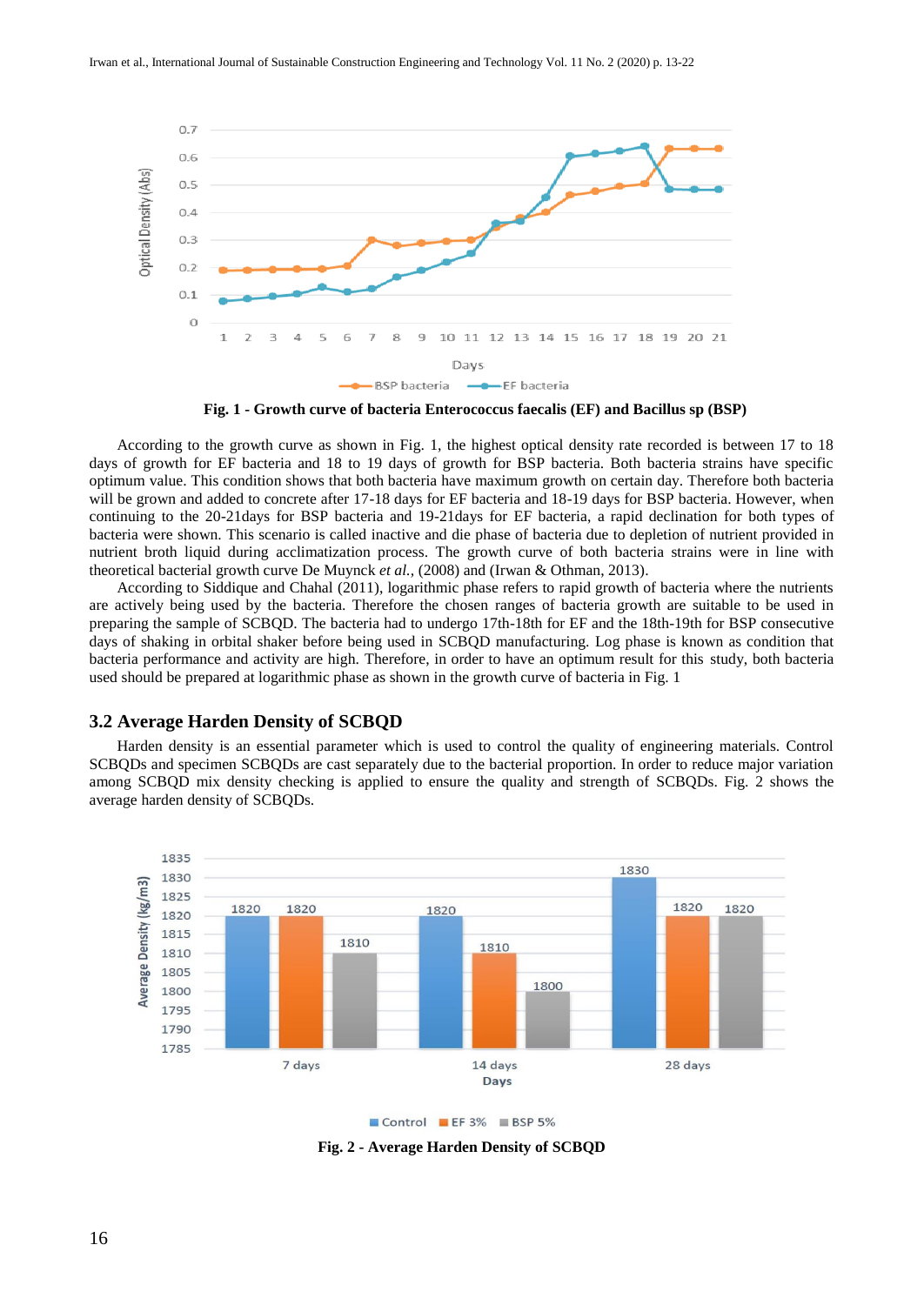

**Fig. 1 - Growth curve of bacteria Enterococcus faecalis (EF) and Bacillus sp (BSP)**

According to the growth curve as shown in Fig. 1, the highest optical density rate recorded is between 17 to 18 days of growth for EF bacteria and 18 to 19 days of growth for BSP bacteria. Both bacteria strains have specific optimum value. This condition shows that both bacteria have maximum growth on certain day. Therefore both bacteria will be grown and added to concrete after 17-18 days for EF bacteria and 18-19 days for BSP bacteria. However, when continuing to the 20-21days for BSP bacteria and 19-21days for EF bacteria, a rapid declination for both types of bacteria were shown. This scenario is called inactive and die phase of bacteria due to depletion of nutrient provided in nutrient broth liquid during acclimatization process. The growth curve of both bacteria strains were in line with theoretical bacterial growth curve De Muynck *et al.,* (2008) and (Irwan & Othman, 2013).

According to Siddique and Chahal (2011), logarithmic phase refers to rapid growth of bacteria where the nutrients are actively being used by the bacteria. Therefore the chosen ranges of bacteria growth are suitable to be used in preparing the sample of SCBQD. The bacteria had to undergo 17th-18th for EF and the 18th-19th for BSP consecutive days of shaking in orbital shaker before being used in SCBQD manufacturing. Log phase is known as condition that bacteria performance and activity are high. Therefore, in order to have an optimum result for this study, both bacteria used should be prepared at logarithmic phase as shown in the growth curve of bacteria in Fig. 1

#### **3.2 Average Harden Density of SCBQD**

Harden density is an essential parameter which is used to control the quality of engineering materials. Control SCBQDs and specimen SCBQDs are cast separately due to the bacterial proportion. In order to reduce major variation among SCBQD mix density checking is applied to ensure the quality and strength of SCBQDs. Fig. 2 shows the average harden density of SCBQDs.



Control EF3% BSP 5%

**Fig. 2 - Average Harden Density of SCBQD**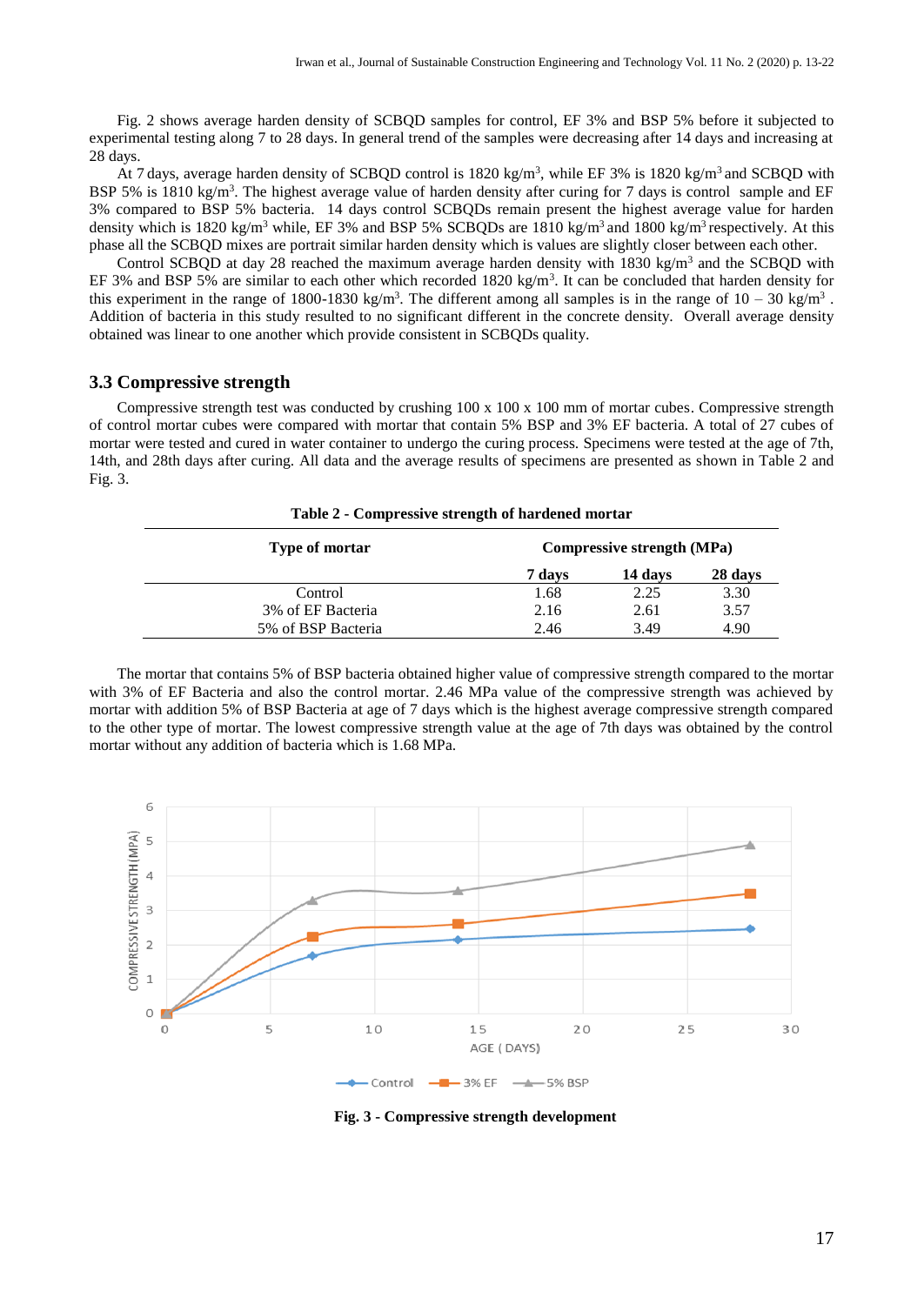Fig. 2 shows average harden density of SCBQD samples for control, EF 3% and BSP 5% before it subjected to experimental testing along 7 to 28 days. In general trend of the samples were decreasing after 14 days and increasing at 28 days.

At 7 days, average harden density of SCBQD control is 1820 kg/m<sup>3</sup>, while EF 3% is 1820 kg/m<sup>3</sup> and SCBQD with BSP 5% is 1810 kg/m<sup>3</sup>. The highest average value of harden density after curing for 7 days is control sample and EF 3% compared to BSP 5% bacteria. 14 days control SCBQDs remain present the highest average value for harden density which is 1820 kg/m<sup>3</sup> while, EF 3% and BSP 5% SCBQDs are 1810 kg/m<sup>3</sup> and 1800 kg/m<sup>3</sup> respectively. At this phase all the SCBQD mixes are portrait similar harden density which is values are slightly closer between each other.

Control SCBQD at day 28 reached the maximum average harden density with 1830 kg/m<sup>3</sup> and the SCBQD with EF 3% and BSP 5% are similar to each other which recorded  $1820 \text{ kg/m}^3$ . It can be concluded that harden density for this experiment in the range of 1800-1830 kg/m<sup>3</sup>. The different among all samples is in the range of  $10 - 30$  kg/m<sup>3</sup>. Addition of bacteria in this study resulted to no significant different in the concrete density. Overall average density obtained was linear to one another which provide consistent in SCBQDs quality.

#### **3.3 Compressive strength**

Compressive strength test was conducted by crushing  $100 \times 100 \times 100$  mm of mortar cubes. Compressive strength of control mortar cubes were compared with mortar that contain 5% BSP and 3% EF bacteria. A total of 27 cubes of mortar were tested and cured in water container to undergo the curing process. Specimens were tested at the age of 7th, 14th, and 28th days after curing. All data and the average results of specimens are presented as shown in Table 2 and Fig. 3.

| Table 2 - Compressive strength of hardened mortar |                            |         |         |  |  |  |
|---------------------------------------------------|----------------------------|---------|---------|--|--|--|
| Type of mortar                                    | Compressive strength (MPa) |         |         |  |  |  |
|                                                   | 7 days                     | 14 days | 28 days |  |  |  |
| Control                                           | 1.68                       | 2.25    | 3.30    |  |  |  |
| 3% of EF Bacteria                                 | 2.16                       | 2.61    | 3.57    |  |  |  |
| 5% of BSP Bacteria                                | 2.46                       | 3.49    | 4.90    |  |  |  |

The mortar that contains 5% of BSP bacteria obtained higher value of compressive strength compared to the mortar with 3% of EF Bacteria and also the control mortar. 2.46 MPa value of the compressive strength was achieved by mortar with addition 5% of BSP Bacteria at age of 7 days which is the highest average compressive strength compared to the other type of mortar. The lowest compressive strength value at the age of 7th days was obtained by the control mortar without any addition of bacteria which is 1.68 MPa.



**Fig. 3 - Compressive strength development**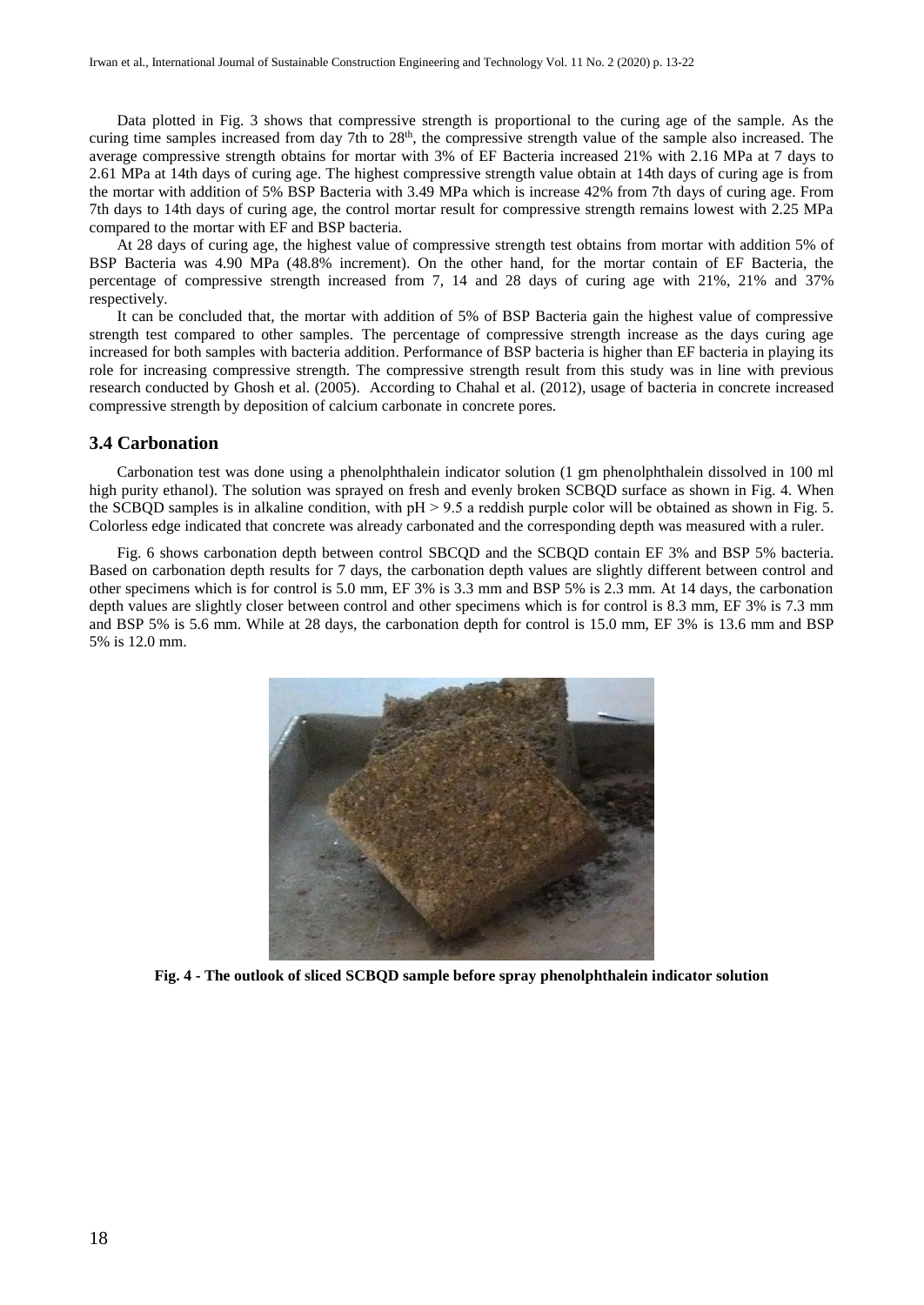Data plotted in Fig. 3 shows that compressive strength is proportional to the curing age of the sample. As the curing time samples increased from day 7th to  $28<sup>th</sup>$ , the compressive strength value of the sample also increased. The average compressive strength obtains for mortar with 3% of EF Bacteria increased 21% with 2.16 MPa at 7 days to 2.61 MPa at 14th days of curing age. The highest compressive strength value obtain at 14th days of curing age is from the mortar with addition of 5% BSP Bacteria with 3.49 MPa which is increase 42% from 7th days of curing age. From 7th days to 14th days of curing age, the control mortar result for compressive strength remains lowest with 2.25 MPa compared to the mortar with EF and BSP bacteria.

At 28 days of curing age, the highest value of compressive strength test obtains from mortar with addition 5% of BSP Bacteria was 4.90 MPa (48.8% increment). On the other hand, for the mortar contain of EF Bacteria, the percentage of compressive strength increased from 7, 14 and 28 days of curing age with 21%, 21% and 37% respectively.

It can be concluded that, the mortar with addition of 5% of BSP Bacteria gain the highest value of compressive strength test compared to other samples. The percentage of compressive strength increase as the days curing age increased for both samples with bacteria addition. Performance of BSP bacteria is higher than EF bacteria in playing its role for increasing compressive strength. The compressive strength result from this study was in line with previous research conducted by Ghosh et al. (2005). According to Chahal et al. (2012), usage of bacteria in concrete increased compressive strength by deposition of calcium carbonate in concrete pores.

#### **3.4 Carbonation**

Carbonation test was done using a phenolphthalein indicator solution (1 gm phenolphthalein dissolved in 100 ml high purity ethanol). The solution was sprayed on fresh and evenly broken SCBQD surface as shown in Fig. 4. When the SCBQD samples is in alkaline condition, with  $pH > 9.5$  a reddish purple color will be obtained as shown in Fig. 5. Colorless edge indicated that concrete was already carbonated and the corresponding depth was measured with a ruler.

Fig. 6 shows carbonation depth between control SBCQD and the SCBQD contain EF 3% and BSP 5% bacteria. Based on carbonation depth results for 7 days, the carbonation depth values are slightly different between control and other specimens which is for control is 5.0 mm, EF 3% is 3.3 mm and BSP 5% is 2.3 mm. At 14 days, the carbonation depth values are slightly closer between control and other specimens which is for control is 8.3 mm, EF 3% is 7.3 mm and BSP 5% is 5.6 mm. While at 28 days, the carbonation depth for control is 15.0 mm, EF 3% is 13.6 mm and BSP 5% is 12.0 mm.



**Fig. 4 - The outlook of sliced SCBQD sample before spray phenolphthalein indicator solution**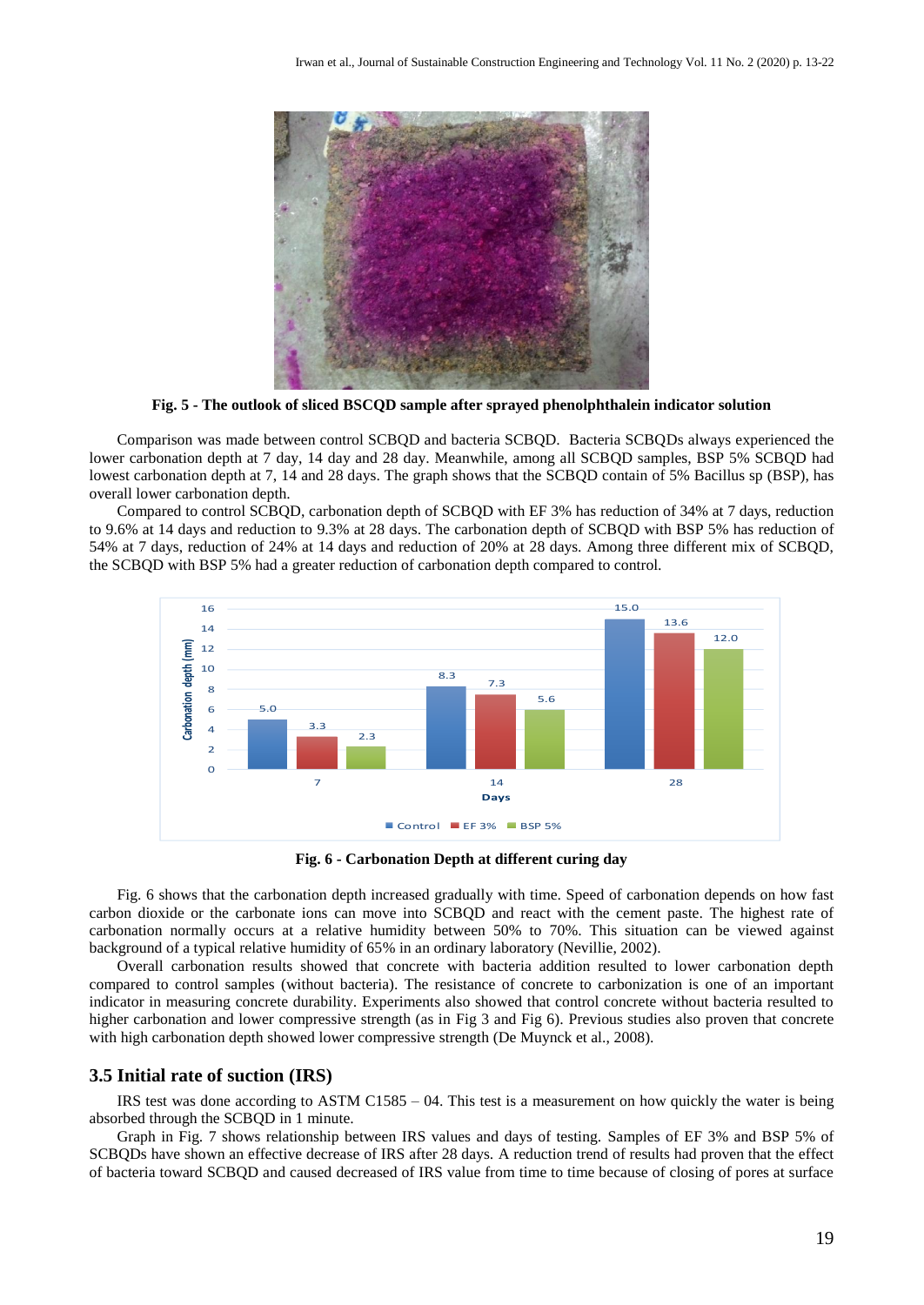

**Fig. 5 - The outlook of sliced BSCQD sample after sprayed phenolphthalein indicator solution**

Comparison was made between control SCBOD and bacteria SCBOD. Bacteria SCBODs always experienced the lower carbonation depth at 7 day, 14 day and 28 day. Meanwhile, among all SCBQD samples, BSP 5% SCBQD had lowest carbonation depth at 7, 14 and 28 days. The graph shows that the SCBQD contain of 5% Bacillus sp (BSP), has overall lower carbonation depth.

Compared to control SCBQD, carbonation depth of SCBQD with EF 3% has reduction of 34% at 7 days, reduction to 9.6% at 14 days and reduction to 9.3% at 28 days. The carbonation depth of SCBQD with BSP 5% has reduction of 54% at 7 days, reduction of 24% at 14 days and reduction of 20% at 28 days. Among three different mix of SCBQD, the SCBQD with BSP 5% had a greater reduction of carbonation depth compared to control.



**Fig. 6 - Carbonation Depth at different curing day**

Fig. 6 shows that the carbonation depth increased gradually with time. Speed of carbonation depends on how fast carbon dioxide or the carbonate ions can move into SCBQD and react with the cement paste. The highest rate of carbonation normally occurs at a relative humidity between 50% to 70%. This situation can be viewed against background of a typical relative humidity of 65% in an ordinary laboratory (Nevillie, 2002).

Overall carbonation results showed that concrete with bacteria addition resulted to lower carbonation depth compared to control samples (without bacteria). The resistance of concrete to carbonization is one of an important indicator in measuring concrete durability. Experiments also showed that control concrete without bacteria resulted to higher carbonation and lower compressive strength (as in Fig 3 and Fig 6). Previous studies also proven that concrete with high carbonation depth showed lower compressive strength (De Muynck et al., 2008).

#### **3.5 Initial rate of suction (IRS)**

IRS test was done according to ASTM C1585 – 04. This test is a measurement on how quickly the water is being absorbed through the SCBQD in 1 minute.

Graph in Fig. 7 shows relationship between IRS values and days of testing. Samples of EF 3% and BSP 5% of SCBQDs have shown an effective decrease of IRS after 28 days. A reduction trend of results had proven that the effect of bacteria toward SCBQD and caused decreased of IRS value from time to time because of closing of pores at surface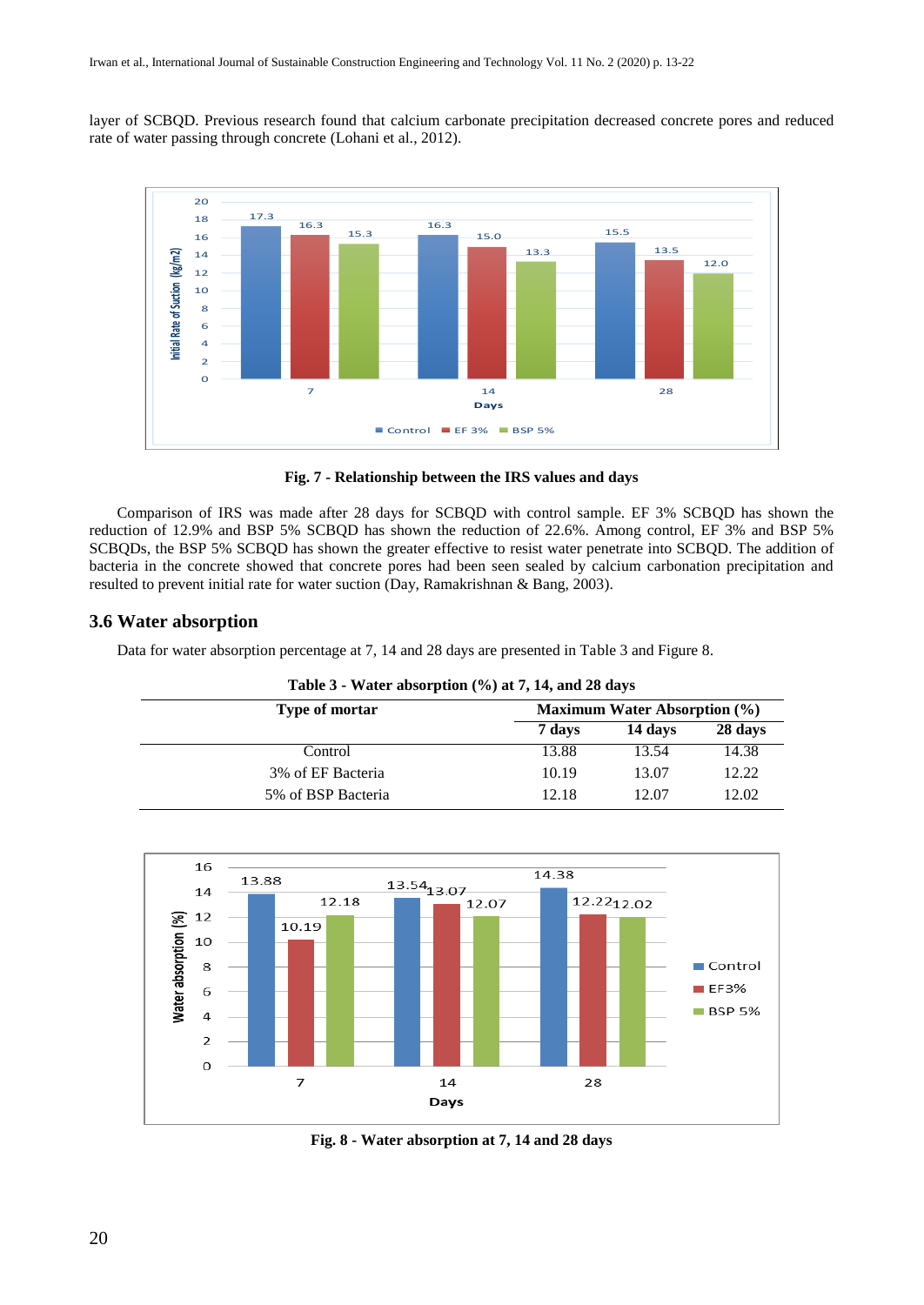layer of SCBQD. Previous research found that calcium carbonate precipitation decreased concrete pores and reduced rate of water passing through concrete (Lohani et al., 2012).



**Fig. 7 - Relationship between the IRS values and days**

Comparison of IRS was made after 28 days for SCBQD with control sample. EF 3% SCBQD has shown the reduction of 12.9% and BSP 5% SCBQD has shown the reduction of 22.6%. Among control, EF 3% and BSP 5% SCBQDs, the BSP 5% SCBQD has shown the greater effective to resist water penetrate into SCBQD. The addition of bacteria in the concrete showed that concrete pores had been seen sealed by calcium carbonation precipitation and resulted to prevent initial rate for water suction (Day, Ramakrishnan & Bang, 2003).

# **3.6 Water absorption**

Data for water absorption percentage at 7, 14 and 28 days are presented in Table 3 and Figure 8.

| Table $3$ - Water absorption $(\% )$ at 7, 14, and 28 days |                                  |         |         |  |  |  |  |  |
|------------------------------------------------------------|----------------------------------|---------|---------|--|--|--|--|--|
| <b>Type of mortar</b>                                      | Maximum Water Absorption $(\% )$ |         |         |  |  |  |  |  |
|                                                            | 7 days                           | 14 days | 28 days |  |  |  |  |  |
| Control                                                    | 13.88                            | 13.54   | 14.38   |  |  |  |  |  |
| 3% of EF Bacteria                                          | 10.19                            | 13.07   | 12.22   |  |  |  |  |  |
| 5% of BSP Bacteria                                         | 12.18                            | 12.07   | 12.02   |  |  |  |  |  |



**Fig. 8 - Water absorption at 7, 14 and 28 days**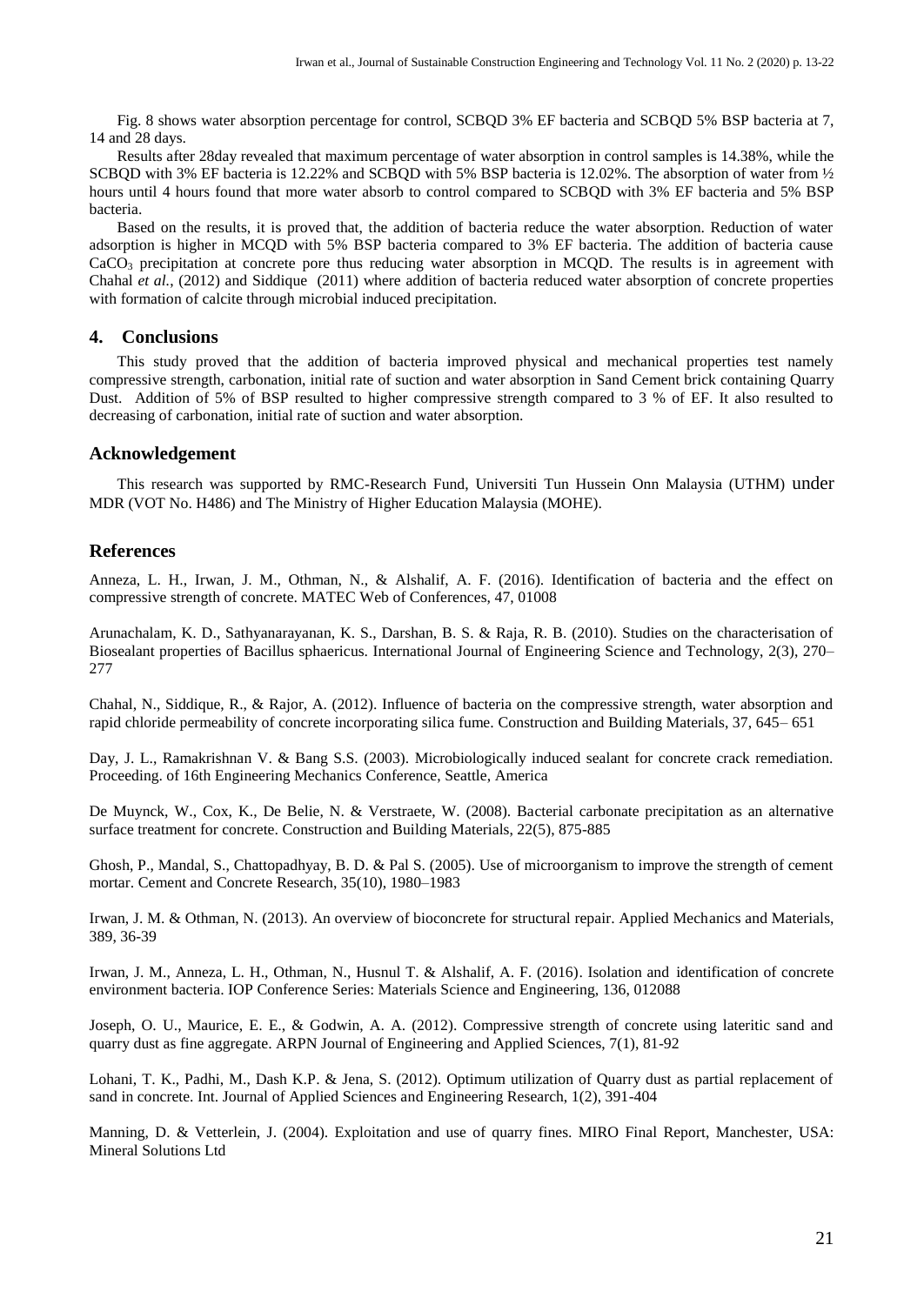Fig. 8 shows water absorption percentage for control, SCBQD 3% EF bacteria and SCBQD 5% BSP bacteria at 7, 14 and 28 days.

Results after 28day revealed that maximum percentage of water absorption in control samples is 14.38%, while the SCBQD with 3% EF bacteria is 12.22% and SCBQD with 5% BSP bacteria is 12.02%. The absorption of water from ½ hours until 4 hours found that more water absorb to control compared to SCBOD with 3% EF bacteria and 5% BSP bacteria.

Based on the results, it is proved that, the addition of bacteria reduce the water absorption. Reduction of water adsorption is higher in MCQD with 5% BSP bacteria compared to 3% EF bacteria. The addition of bacteria cause CaCO<sub>3</sub> precipitation at concrete pore thus reducing water absorption in MCQD. The results is in agreement with Chahal *et al.*, (2012) and Siddique (2011) where addition of bacteria reduced water absorption of concrete properties with formation of calcite through microbial induced precipitation.

### **4. Conclusions**

This study proved that the addition of bacteria improved physical and mechanical properties test namely compressive strength, carbonation, initial rate of suction and water absorption in Sand Cement brick containing Quarry Dust. Addition of 5% of BSP resulted to higher compressive strength compared to 3 % of EF. It also resulted to decreasing of carbonation, initial rate of suction and water absorption.

#### **Acknowledgement**

This research was supported by RMC-Research Fund, Universiti Tun Hussein Onn Malaysia (UTHM) under MDR (VOT No. H486) and The Ministry of Higher Education Malaysia (MOHE).

#### **References**

Anneza, L. H., Irwan, J. M., Othman, N., & Alshalif, A. F. (2016). Identification of bacteria and the effect on compressive strength of concrete. MATEC Web of Conferences, 47, 01008

Arunachalam, K. D., Sathyanarayanan, K. S., Darshan, B. S. & Raja, R. B. (2010). Studies on the characterisation of Biosealant properties of Bacillus sphaericus. International Journal of Engineering Science and Technology, 2(3), 270– 277

Chahal, N., Siddique, R., & Rajor, A. (2012). Influence of bacteria on the compressive strength, water absorption and rapid chloride permeability of concrete incorporating silica fume. Construction and Building Materials, 37, 645– 651

Day, J. L., Ramakrishnan V. & Bang S.S. (2003). Microbiologically induced sealant for concrete crack remediation. Proceeding. of 16th Engineering Mechanics Conference, Seattle, America

De Muynck, W., Cox, K., De Belie, N. & Verstraete, W. (2008). Bacterial carbonate precipitation as an alternative surface treatment for concrete. Construction and Building Materials, 22(5), 875-885

Ghosh, P., Mandal, S., Chattopadhyay, B. D. & Pal S. (2005). Use of microorganism to improve the strength of cement mortar. Cement and Concrete Research, 35(10), 1980–1983

Irwan, J. M. & Othman, N. (2013). An overview of bioconcrete for structural repair. Applied Mechanics and Materials, 389, 36-39

Irwan, J. M., Anneza, L. H., Othman, N., Husnul T. & Alshalif, A. F. (2016). Isolation and identification of concrete environment bacteria. IOP Conference Series: Materials Science and Engineering, 136, 012088

Joseph, O. U., Maurice, E. E., & Godwin, A. A. (2012). Compressive strength of concrete using lateritic sand and quarry dust as fine aggregate. ARPN Journal of Engineering and Applied Sciences, 7(1), 81-92

Lohani, T. K., Padhi, M., Dash K.P. & Jena, S. (2012). Optimum utilization of Quarry dust as partial replacement of sand in concrete. Int. Journal of Applied Sciences and Engineering Research, 1(2), 391-404

Manning, D. & Vetterlein, J. (2004). Exploitation and use of quarry fines. MIRO Final Report, Manchester, USA: Mineral Solutions Ltd